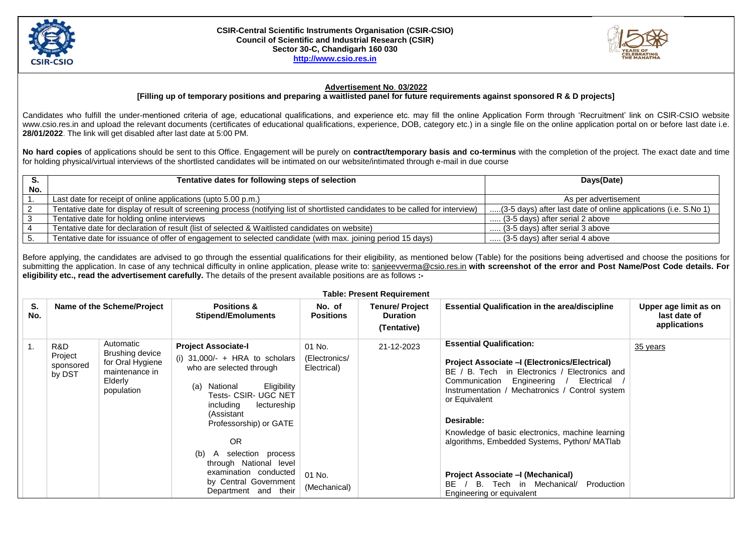



## **Advertisement No**. **03/2022**

## **[Filling up of temporary positions and preparing a waitlisted panel for future requirements against sponsored R & D projects]**

Candidates who fulfill the under-mentioned criteria of age, educational qualifications, and experience etc. may fill the online Application Form through 'Recruitment' link on CSIR-CSIO website www.csio.res.in and upload the relevant documents (certificates of educational qualifications, experience, DOB, category etc.) in a single file on the online application portal on or before last date i.e. **28/01/2022**. The link will get disabled after last date at 5:00 PM.

**No hard copies** of applications should be sent to this Office. Engagement will be purely on **contract/temporary basis and co-terminus** with the completion of the project. The exact date and time for holding physical/virtual interviews of the shortlisted candidates will be intimated on our website/intimated through e-mail in due course

|     | Tentative dates for following steps of selection                                                                                | Days(Date)                                                      |  |
|-----|---------------------------------------------------------------------------------------------------------------------------------|-----------------------------------------------------------------|--|
| No. |                                                                                                                                 |                                                                 |  |
|     | Last date for receipt of online applications (upto 5.00 p.m.)                                                                   | As per advertisement                                            |  |
|     | Tentative date for display of result of screening process (notifying list of shortlisted candidates to be called for interview) | (3-5 days) after last date of online applications (i.e. S.No 1) |  |
|     | Tentative date for holding online interviews                                                                                    | (3-5 days) after serial 2 above                                 |  |
|     | Tentative date for declaration of result (list of selected & Waitlisted candidates on website)                                  | (3-5 days) after serial 3 above                                 |  |
|     | Tentative date for issuance of offer of engagement to selected candidate (with max. joining period 15 days)                     | (3-5 days) after serial 4 above                                 |  |

Before applying, the candidates are advised to go through the essential qualifications for their eligibility, as mentioned below (Table) for the positions being advertised and choose the positions for submitting the application. In case of any technical difficulty in online application, please write to: [sanjeevverma@csio.res.in](mailto:sanjeevverma@csio.res.in) **with screenshot of the error and Post Name/Post Code details. For eligibility etc., read the advertisement carefully.** The details of the present available positions are as follows **:-**

| <b>Table: Present Requirement</b> |                                       |                                                                                             |                                                                                                                                                                                                                                                                                                                                                                              |                                                                  |                                                          |                                                                                                                                                                                                                                                                                                                                                                                                                                                                                           |                                                       |  |
|-----------------------------------|---------------------------------------|---------------------------------------------------------------------------------------------|------------------------------------------------------------------------------------------------------------------------------------------------------------------------------------------------------------------------------------------------------------------------------------------------------------------------------------------------------------------------------|------------------------------------------------------------------|----------------------------------------------------------|-------------------------------------------------------------------------------------------------------------------------------------------------------------------------------------------------------------------------------------------------------------------------------------------------------------------------------------------------------------------------------------------------------------------------------------------------------------------------------------------|-------------------------------------------------------|--|
| S.<br>No.                         |                                       | Name of the Scheme/Project                                                                  | <b>Positions &amp;</b><br><b>Stipend/Emoluments</b>                                                                                                                                                                                                                                                                                                                          | No. of<br><b>Positions</b>                                       | <b>Tenure/ Project</b><br><b>Duration</b><br>(Tentative) | <b>Essential Qualification in the area/discipline</b>                                                                                                                                                                                                                                                                                                                                                                                                                                     | Upper age limit as on<br>last date of<br>applications |  |
| 1.                                | R&D<br>Project<br>sponsored<br>by DST | Automatic<br>Brushing device<br>for Oral Hygiene<br>maintenance in<br>Elderly<br>population | <b>Project Associate-I</b><br>(i) $31,000/-$ + HRA to scholars<br>who are selected through<br>Eligibility<br>National<br>(a)<br><b>Tests- CSIR- UGC NET</b><br>including<br>lectureship<br>(Assistant<br>Professorship) or GATE<br><b>OR</b><br>selection process<br>(b)<br>through National level<br>examination conducted<br>by Central Government<br>Department and their | 01 No.<br>(Electronics/<br>Electrical)<br>01 No.<br>(Mechanical) | 21-12-2023                                               | <b>Essential Qualification:</b><br>Project Associate – (Electronics/Electrical)<br>BE / B. Tech in Electronics / Electronics and<br>Engineering /<br>Electrical<br>Communication<br>Mechatronics / Control system<br>Instrumentation /<br>or Equivalent<br>Desirable:<br>Knowledge of basic electronics, machine learning<br>algorithms, Embedded Systems, Python/ MATlab<br>Project Associate - (Mechanical)<br>BE.<br>B. Tech in Mechanical/<br>Production<br>Engineering or equivalent | 35 years                                              |  |